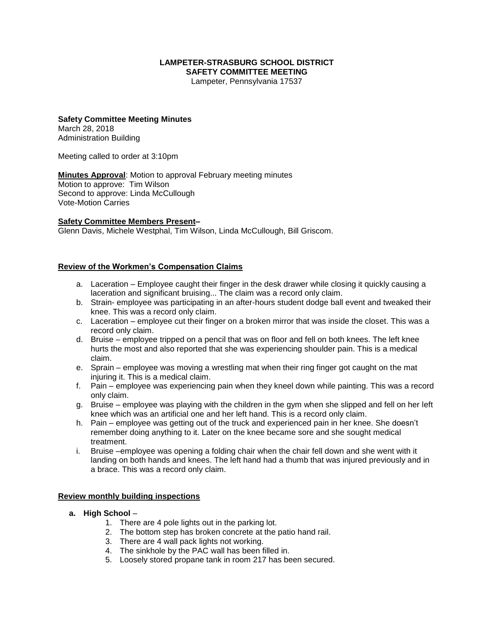#### **LAMPETER-STRASBURG SCHOOL DISTRICT SAFETY COMMITTEE MEETING**

Lampeter, Pennsylvania 17537

#### **Safety Committee Meeting Minutes** March 28, 2018

Administration Building

Meeting called to order at 3:10pm

**Minutes Approval**: Motion to approval February meeting minutes Motion to approve: Tim Wilson Second to approve: Linda McCullough Vote-Motion Carries

### **Safety Committee Members Present–**

Glenn Davis, Michele Westphal, Tim Wilson, Linda McCullough, Bill Griscom.

### **Review of the Workmen's Compensation Claims**

- a. Laceration Employee caught their finger in the desk drawer while closing it quickly causing a laceration and significant bruising... The claim was a record only claim.
- b. Strain- employee was participating in an after-hours student dodge ball event and tweaked their knee. This was a record only claim.
- c. Laceration employee cut their finger on a broken mirror that was inside the closet. This was a record only claim.
- d. Bruise employee tripped on a pencil that was on floor and fell on both knees. The left knee hurts the most and also reported that she was experiencing shoulder pain. This is a medical claim.
- e. Sprain employee was moving a wrestling mat when their ring finger got caught on the mat injuring it. This is a medical claim.
- f. Pain employee was experiencing pain when they kneel down while painting. This was a record only claim.
- g. Bruise employee was playing with the children in the gym when she slipped and fell on her left knee which was an artificial one and her left hand. This is a record only claim.
- h. Pain employee was getting out of the truck and experienced pain in her knee. She doesn't remember doing anything to it. Later on the knee became sore and she sought medical treatment.
- i. Bruise –employee was opening a folding chair when the chair fell down and she went with it landing on both hands and knees. The left hand had a thumb that was injured previously and in a brace. This was a record only claim.

### **Review monthly building inspections**

- **a. High School**
	- 1. There are 4 pole lights out in the parking lot.
	- 2. The bottom step has broken concrete at the patio hand rail.
	- 3. There are 4 wall pack lights not working.
	- 4. The sinkhole by the PAC wall has been filled in.
	- 5. Loosely stored propane tank in room 217 has been secured.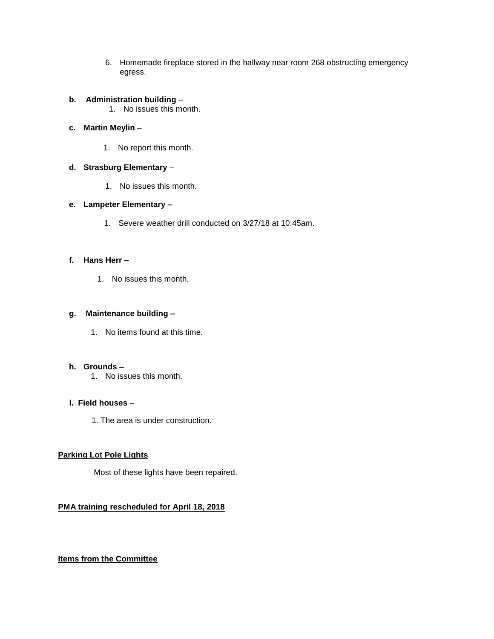6. Homemade fireplace stored in the hallway near room 268 obstructing emergency egress.

### **b. Administration building** –

1. No issues this month.

### **c. Martin Meylin** –

1. No report this month.

### **d. Strasburg Elementary** –

1. No issues this month.

### **e. Lampeter Elementary –**

1. Severe weather drill conducted on 3/27/18 at 10:45am.

### **f. Hans Herr –**

1. No issues this month.

### **g. Maintenance building –**

1. No items found at this time.

### **h. Grounds –**

1. No issues this month.

### **l. Field houses** –

1. The area is under construction.

### **Parking Lot Pole Lights**

Most of these lights have been repaired.

## **PMA training rescheduled for April 18, 2018**

## **Items from the Committee**